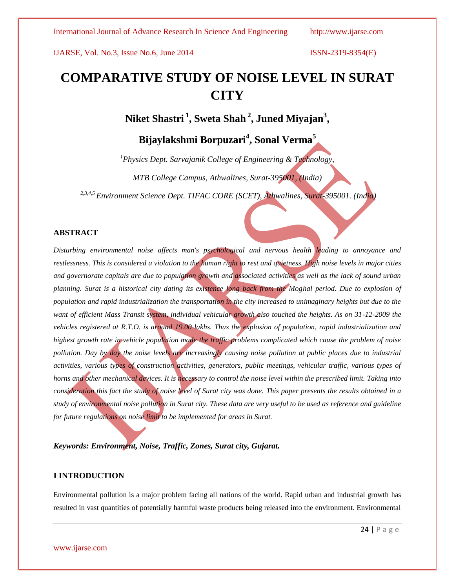# **COMPARATIVE STUDY OF NOISE LEVEL IN SURAT CITY**

**Niket Shastri <sup>1</sup> , Sweta Shah <sup>2</sup> , Juned Miyajan<sup>3</sup> ,**

**Bijaylakshmi Borpuzari<sup>4</sup> , Sonal Verma<sup>5</sup>**

*<sup>1</sup>Physics Dept. Sarvajanik College of Engineering & Technology, MTB College Campus, Athwalines, Surat-395001, (India)*

*2,3,4,5 Environment Science Dept. TIFAC CORE (SCET), Athwalines, Surat-395001. (India)*

## **ABSTRACT**

*Disturbing environmental noise affects man's psychological and nervous health leading to annoyance and restlessness. This is considered a violation to the human right to rest and quietness. High noise levels in major cities and governorate capitals are due to population growth and associated activities as well as the lack of sound urban planning. Surat is a historical city dating its existence long back from the Moghal period. Due to explosion of population and rapid industrialization the transportation in the city increased to unimaginary heights but due to the* want of efficient Mass Transit system, individual vehicular growth also touched the heights. As on 31-12-2009 the *vehicles registered at R.T.O. is around 19.00 lakhs. Thus the explosion of population, rapid industrialization and highest growth rate in vehicle population made the traffic problems complicated which cause the problem of noise pollution. Day by day the noise levels are increasingly causing noise pollution at public places due to industrial activities, various types of construction activities, generators, public meetings, vehicular traffic, various types of horns and other mechanical devices. It is necessary to control the noise level within the prescribed limit. Taking into consideration this fact the study of noise level of Surat city was done. This paper presents the results obtained in a study of environmental noise pollution in Surat city. These data are very useful to be used as reference and guideline for future regulations on noise limit to be implemented for areas in Surat.*

*Keywords: Environment, Noise, Traffic, Zones, Surat city, Gujarat.*

## **I INTRODUCTION**

Environmental pollution is a major problem facing all nations of the world. Rapid urban and industrial growth has resulted in vast quantities of potentially harmful waste products being released into the environment. Environmental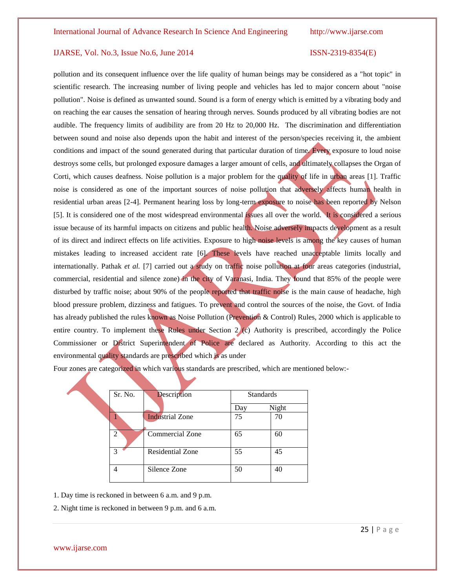pollution and its consequent influence over the life quality of human beings may be considered as a "hot topic" in scientific research. The increasing number of living people and vehicles has led to major concern about "noise pollution". Noise is defined as unwanted sound. Sound is a form of energy which is emitted by a vibrating body and on reaching the ear causes the sensation of hearing through nerves. Sounds produced by all vibrating bodies are not audible. The frequency limits of audibility are from 20 Hz to 20,000 Hz. The discrimination and differentiation between sound and noise also depends upon the habit and interest of the person/species receiving it, the ambient conditions and impact of the sound generated during that particular duration of time. Every exposure to loud noise destroys some cells, but prolonged exposure damages a larger amount of cells, and ultimately collapses the Organ of Corti, which causes deafness. Noise pollution is a major problem for the quality of life in urban areas [1]. Traffic noise is considered as one of the important sources of noise pollution that adversely affects human health in residential urban areas [2-4]. Permanent hearing loss by long-term exposure to noise has been reported by Nelson [5]. It is considered one of the most widespread environmental issues all over the world. It is considered a serious issue because of its harmful impacts on citizens and public health. Noise adversely impacts development as a result of its direct and indirect effects on life activities. Exposure to high noise levels is among the key causes of human mistakes leading to increased accident rate [6]. These levels have reached unacceptable limits locally and internationally. Pathak *et al.* [7] carried out a study on traffic noise pollution at four areas categories (industrial, commercial, residential and silence zone) in the city of Varanasi, India. They found that 85% of the people were disturbed by traffic noise; about 90% of the people reported that traffic noise is the main cause of headache, high blood pressure problem, dizziness and fatigues. To prevent and control the sources of the noise, the Govt. of India has already published the rules known as Noise Pollution (Prevention & Control) Rules, 2000 which is applicable to entire country. To implement these Rules under Section 2 (c) Authority is prescribed, accordingly the Police Commissioner or District Superintendent of Police are declared as Authority. According to this act the environmental quality standards are prescribed which is as under

Four zones are categorized in which various standards are prescribed, which are mentioned below:-

| Sr. No. | Description             |     | <b>Standards</b> |
|---------|-------------------------|-----|------------------|
|         |                         | Day | Night            |
|         | <b>Industrial Zone</b>  | 75  | 70               |
| 2       | <b>Commercial Zone</b>  | 65  | 60               |
| 3       | <b>Residential Zone</b> | 55  | 45               |
|         | Silence Zone            | 50  | 40               |

1. Day time is reckoned in between 6 a.m. and 9 p.m.

2. Night time is reckoned in between 9 p.m. and 6 a.m.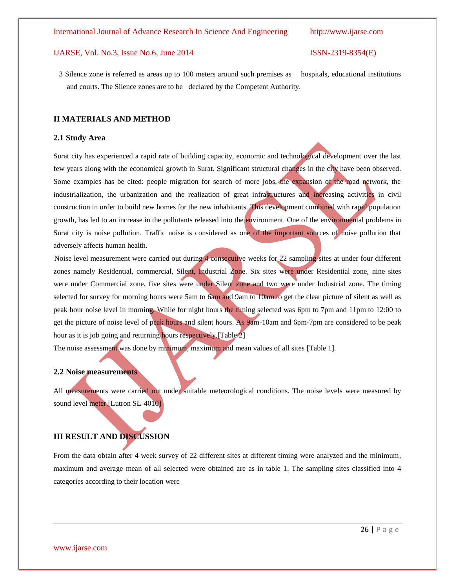3 Silence zone is referred as areas up to 100 meters around such premises as hospitals, educational institutions and courts. The Silence zones are to be declared by the Competent Authority.

## **II MATERIALS AND METHOD**

### **2.1 Study Area**

Surat city has experienced a rapid rate of building capacity, economic and technological development over the last few years along with the economical growth in Surat. Significant structural changes in the city have been observed. Some examples has be cited: people migration for search of more jobs, the expansion of the road network, the industrialization, the urbanization and the realization of great infrastructures and increasing activities in civil construction in order to build new homes for the new inhabitants. This development combined with rapid population growth, has led to an increase in the pollutants released into the environment. One of the environmental problems in Surat city is noise pollution. Traffic noise is considered as one of the important sources of noise pollution that adversely affects human health.

Noise level measurement were carried out during 4 consecutive weeks for 22 sampling sites at under four different zones namely Residential, commercial, Silent, Industrial Zone. Six sites were under Residential zone, nine sites were under Commercial zone, five sites were under Silent zone and two were under Industrial zone. The timing selected for survey for morning hours were 5am to 6am and 9am to 10am to get the clear picture of silent as well as peak hour noise level in morning. While for night hours the timing selected was 6pm to 7pm and 11pm to 12:00 to get the picture of noise level of peak hours and silent hours. As 9am-10am and 6pm-7pm are considered to be peak hour as it is job going and returning hours respectively. [Table 2]

The noise assessment was done by minimum, maximum and mean values of all sites [Table 1].

## **2.2 Noise measurements**

All measurements were carried out under suitable meteorological conditions. The noise levels were measured by sound level meter.[Lutron SL-4010]

## **III RESULT AND DISCUSSION**

From the data obtain after 4 week survey of 22 different sites at different timing were analyzed and the minimum, maximum and average mean of all selected were obtained are as in table 1. The sampling sites classified into 4 categories according to their location were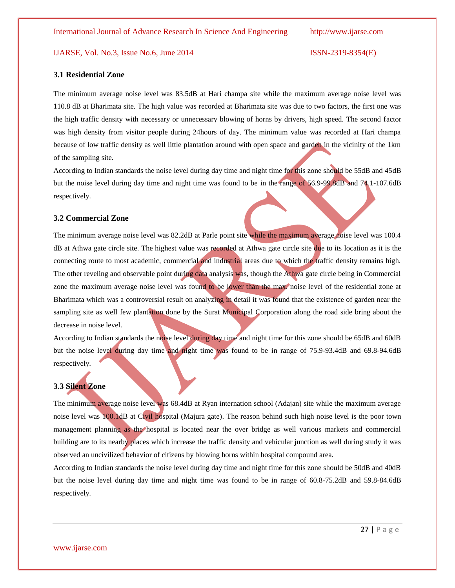### **3.1 Residential Zone**

The minimum average noise level was 83.5dB at Hari champa site while the maximum average noise level was 110.8 dB at Bharimata site. The high value was recorded at Bharimata site was due to two factors, the first one was the high traffic density with necessary or unnecessary blowing of horns by drivers, high speed. The second factor was high density from visitor people during 24hours of day. The minimum value was recorded at Hari champa because of low traffic density as well little plantation around with open space and garden in the vicinity of the 1km of the sampling site.

According to Indian standards the noise level during day time and night time for this zone should be 55dB and 45dB but the noise level during day time and night time was found to be in the range of 56.9-99.8dB and 74.1-107.6dB respectively.

## **3.2 Commercial Zone**

The minimum average noise level was 82.2dB at Parle point site while the maximum average noise level was 100.4 dB at Athwa gate circle site. The highest value was recorded at Athwa gate circle site due to its location as it is the connecting route to most academic, commercial and industrial areas due to which the traffic density remains high. The other reveling and observable point during data analysis was, though the Athwa gate circle being in Commercial zone the maximum average noise level was found to be lower than the max. noise level of the residential zone at Bharimata which was a controversial result on analyzing in detail it was found that the existence of garden near the sampling site as well few plantation done by the Surat Municipal Corporation along the road side bring about the decrease in noise level.

According to Indian standards the noise level during day time and night time for this zone should be 65dB and 60dB but the noise level during day time and night time was found to be in range of 75.9-93.4dB and 69.8-94.6dB respectively.

## **3.3 Silent Zone**

The minimum average noise level was 68.4dB at Ryan internation school (Adajan) site while the maximum average noise level was 100.1dB at Civil hospital (Majura gate). The reason behind such high noise level is the poor town management planning as the hospital is located near the over bridge as well various markets and commercial building are to its nearby places which increase the traffic density and vehicular junction as well during study it was observed an uncivilized behavior of citizens by blowing horns within hospital compound area.

According to Indian standards the noise level during day time and night time for this zone should be 50dB and 40dB but the noise level during day time and night time was found to be in range of 60.8-75.2dB and 59.8-84.6dB respectively.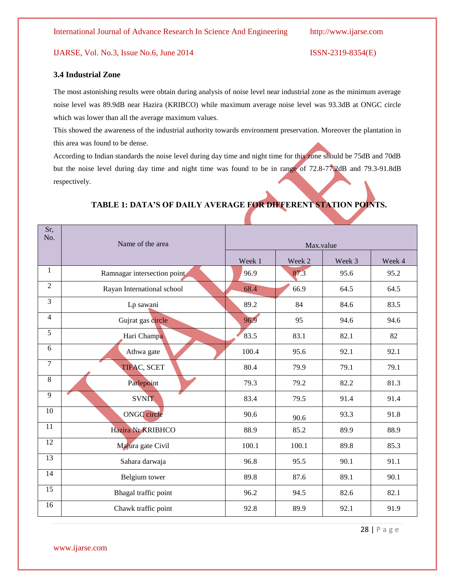## **3.4 Industrial Zone**

The most astonishing results were obtain during analysis of noise level near industrial zone as the minimum average noise level was 89.9dB near Hazira (KRIBCO) while maximum average noise level was 93.3dB at ONGC circle which was lower than all the average maximum values.

This showed the awareness of the industrial authority towards environment preservation. Moreover the plantation in this area was found to be dense.

According to Indian standards the noise level during day time and night time for this zone should be 75dB and 70dB but the noise level during day time and night time was found to be in range of 72.8-77.2dB and 79.3-91.8dB respectively.

| Sr,<br>No.     | Name of the area            | Max.value |        |        |        |  |  |
|----------------|-----------------------------|-----------|--------|--------|--------|--|--|
|                |                             | Week 1    | Week 2 | Week 3 | Week 4 |  |  |
| 1              | Ramnagar intersection point | 96.9      | 87.3   | 95.6   | 95.2   |  |  |
| $\overline{2}$ | Rayan International school  | 68.4      | 66.9   | 64.5   | 64.5   |  |  |
| $\overline{3}$ | Lp sawani                   | 89.2      | 84     | 84.6   | 83.5   |  |  |
| $\overline{4}$ | Gujrat gas circle           | 96.9      | 95     | 94.6   | 94.6   |  |  |
| 5              | Hari Champa                 | 83.5      | 83.1   | 82.1   | 82     |  |  |
| 6              | Athwa gate                  | 100.4     | 95.6   | 92.1   | 92.1   |  |  |
| 7              | <b>TIFAC, SCET</b>          | 80.4      | 79.9   | 79.1   | 79.1   |  |  |
| 8              | Parlepoint                  | 79.3      | 79.2   | 82.2   | 81.3   |  |  |
| 9              | <b>SVNIT</b>                | 83.4      | 79.5   | 91.4   | 91.4   |  |  |
| 10             | ONGC circle                 | 90.6      | 90.6   | 93.3   | 91.8   |  |  |
| 11             | Hazira Nr KRIBHCO           | 88.9      | 85.2   | 89.9   | 88.9   |  |  |
| 12             | Majura gate Civil           | 100.1     | 100.1  | 89.8   | 85.3   |  |  |
| 13             | Sahara darwaja              | 96.8      | 95.5   | 90.1   | 91.1   |  |  |
| 14             | Belgium tower               | 89.8      | 87.6   | 89.1   | 90.1   |  |  |
| 15             | Bhagal traffic point        | 96.2      | 94.5   | 82.6   | 82.1   |  |  |
| 16             | Chawk traffic point         | 92.8      | 89.9   | 92.1   | 91.9   |  |  |

## **TABLE 1: DATA'S OF DAILY AVERAGE FOR DIFFERENT STATION POINTS.**

28 | P a g e

www.ijarse.com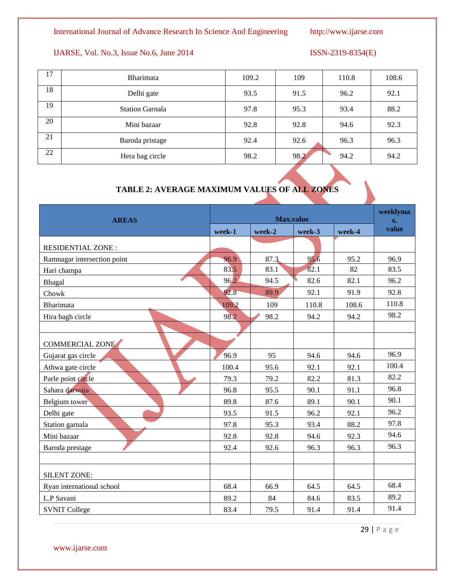## International Journal of Advance Research In Science And Engineering http://www.ijarse.com

## IJARSE, Vol. No.3, Issue No.6, June 2014 ISSN-2319-8354(E)

| 17 | <b>Bharimata</b>       | 109.2 | 109  | 110.8 | 108.6 |
|----|------------------------|-------|------|-------|-------|
| 18 | Delhi gate             | 93.5  | 91.5 | 96.2  | 92.1  |
| 19 | <b>Station Garnala</b> | 97.8  | 95.3 | 93.4  | 88.2  |
| 20 | Mini bazaar            | 92.8  | 92.8 | 94.6  | 92.3  |
| 21 | Baroda pristage        | 92.4  | 92.6 | 96.3  | 96.3  |
| 22 | Hera bag circle        | 98.2  | 98.2 | 94.2  | 94.2  |

## **TABLE 2: AVERAGE MAXIMUM VALUES OF ALL ZONES**

| <b>AREAS</b>                | <b>Max.value</b> |        |        |        | weeklyma<br>$\mathbf{x}$ . |
|-----------------------------|------------------|--------|--------|--------|----------------------------|
|                             | week-1           | week-2 | week-3 | week-4 | value                      |
| <b>RESIDENTIAL ZONE:</b>    |                  |        |        |        |                            |
| Ramnagar intersection point | 96.9             | 87.3   | 95.6   | 95.2   | 96.9                       |
| Hari champa                 | 83.5             | 83.1   | 82.1   | 82     | 83.5                       |
| Bhagal                      | 96.2             | 94.5   | 82.6   | 82.1   | 96.2                       |
| Chowk                       | 92.8             | 89.9   | 92.1   | 91.9   | 92.8                       |
| <b>Bharimata</b>            | 109.2            | 109    | 110.8  | 108.6  | 110.8                      |
| Hira bagh circle            | 98.2             | 98.2   | 94.2   | 94.2   | 98.2                       |
|                             |                  |        |        |        |                            |
| <b>COMMERCIAL ZONE</b>      |                  |        |        |        |                            |
| Gujarat gas circle          | 96.9             | 95     | 94.6   | 94.6   | 96.9                       |
| Athwa gate circle           | 100.4            | 95.6   | 92.1   | 92.1   | 100.4                      |
| Parle point circle          | 79.3             | 79.2   | 82.2   | 81.3   | 82.2                       |
| Sahara darwaja              | 96.8             | 95.5   | 90.1   | 91.1   | 96.8                       |
| Belgium tower               | 89.8             | 87.6   | 89.1   | 90.1   | 90.1                       |
| Delhi gate                  | 93.5             | 91.5   | 96.2   | 92.1   | 96.2                       |
| Station garnala             | 97.8             | 95.3   | 93.4   | 88.2   | 97.8                       |
| Mini bazaar                 | 92.8             | 92.8   | 94.6   | 92.3   | 94.6                       |
| Baroda prestage             | 92.4             | 92.6   | 96.3   | 96.3   | 96.3                       |
|                             |                  |        |        |        |                            |
| <b>SILENT ZONE:</b>         |                  |        |        |        |                            |
| Ryan international school   | 68.4             | 66.9   | 64.5   | 64.5   | 68.4                       |
| L.P Savani                  | 89.2             | 84     | 84.6   | 83.5   | 89.2                       |
| <b>SVNIT College</b>        | 83.4             | 79.5   | 91.4   | 91.4   | 91.4                       |

29 | P a g e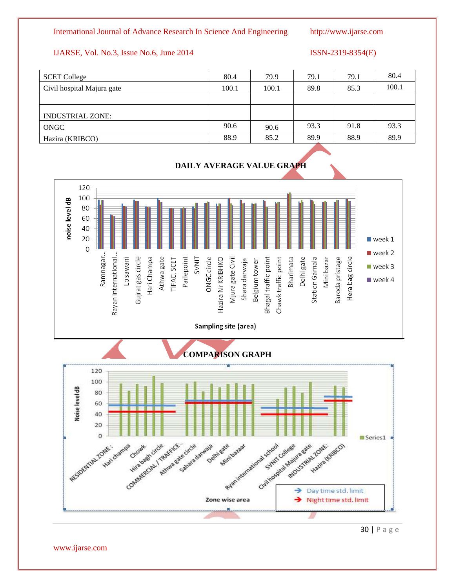## International Journal of Advance Research In Science And Engineering http://www.ijarse.com

## IJARSE, Vol. No.3, Issue No.6, June 2014 ISSN-2319-8354(E)

| <b>SCET College</b>        | 80.4  | 79.9  | 79.1 | 79.1 | 80.4  |
|----------------------------|-------|-------|------|------|-------|
| Civil hospital Majura gate | 100.1 | 100.1 | 89.8 | 85.3 | 100.1 |
|                            |       |       |      |      |       |
| <b>INDUSTRIAL ZONE:</b>    |       |       |      |      |       |
| ONGC                       | 90.6  | 90.6  | 93.3 | 91.8 | 93.3  |
| Hazira (KRIBCO)            | 88.9  | 85.2  | 89.9 | 88.9 | 89.9  |



## **DAILY AVERAGE VALUE GRAPH**



30 | P a g e